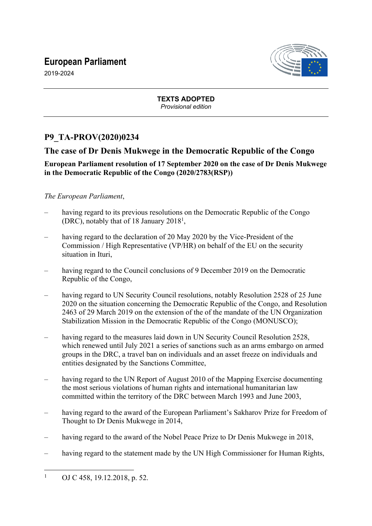# **European Parliament**



2019-2024

**TEXTS ADOPTED** *Provisional edition*

## **P9\_TA-PROV(2020)0234**

## **The case of Dr Denis Mukwege in the Democratic Republic of the Congo**

### **European Parliament resolution of 17 September 2020 on the case of Dr Denis Mukwege in the Democratic Republic of the Congo (2020/2783(RSP))**

#### *The European Parliament*,

- having regard to its previous resolutions on the Democratic Republic of the Congo (DRC), notably that of 18 January 2018<sup>1</sup>,
- having regard to the declaration of 20 May 2020 by the Vice-President of the Commission / High Representative (VP/HR) on behalf of the EU on the security situation in Ituri,
- having regard to the Council conclusions of 9 December 2019 on the Democratic Republic of the Congo,
- having regard to UN Security Council resolutions, notably Resolution 2528 of 25 June 2020 on the situation concerning the Democratic Republic of the Congo, and Resolution 2463 of 29 March 2019 on the extension of the of the mandate of the UN Organization Stabilization Mission in the Democratic Republic of the Congo (MONUSCO);
- having regard to the measures laid down in UN Security Council Resolution 2528, which renewed until July 2021 a series of sanctions such as an arms embargo on armed groups in the DRC, a travel ban on individuals and an asset freeze on individuals and entities designated by the Sanctions Committee,
- having regard to the UN Report of August 2010 of the Mapping Exercise documenting the most serious violations of human rights and international humanitarian law committed within the territory of the DRC between March 1993 and June 2003,
- having regard to the award of the European Parliament's Sakharov Prize for Freedom of Thought to Dr Denis Mukwege in 2014,
- having regard to the award of the Nobel Peace Prize to Dr Denis Mukwege in 2018,
- having regard to the statement made by the UN High Commissioner for Human Rights,

<sup>1</sup> OJ C 458, 19.12.2018, p. 52.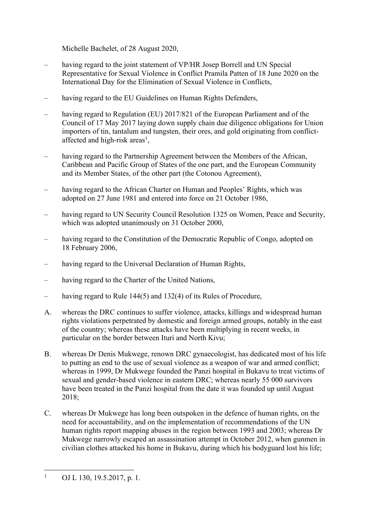Michelle Bachelet, of 28 August 2020,

- having regard to the joint statement of VP/HR Josep Borrell and UN Special Representative for Sexual Violence in Conflict Pramila Patten of 18 June 2020 on the International Day for the Elimination of Sexual Violence in Conflicts,
- having regard to the EU Guidelines on Human Rights Defenders,
- having regard to Regulation (EU) 2017/821 of the European Parliament and of the Council of 17 May 2017 laying down supply chain due diligence obligations for Union importers of tin, tantalum and tungsten, their ores, and gold originating from conflictaffected and high-risk areas<sup>1</sup>,
- having regard to the Partnership Agreement between the Members of the African, Caribbean and Pacific Group of States of the one part, and the European Community and its Member States, of the other part (the Cotonou Agreement),
- having regard to the African Charter on Human and Peoples' Rights, which was adopted on 27 June 1981 and entered into force on 21 October 1986,
- having regard to UN Security Council Resolution 1325 on Women, Peace and Security, which was adopted unanimously on 31 October 2000,
- having regard to the Constitution of the Democratic Republic of Congo, adopted on 18 February 2006,
- having regard to the Universal Declaration of Human Rights,
- having regard to the Charter of the United Nations,
- having regard to Rule 144(5) and 132(4) of its Rules of Procedure,
- A. whereas the DRC continues to suffer violence, attacks, killings and widespread human rights violations perpetrated by domestic and foreign armed groups, notably in the east of the country; whereas these attacks have been multiplying in recent weeks, in particular on the border between Ituri and North Kivu;
- B. whereas Dr Denis Mukwege, renown DRC gynaecologist, has dedicated most of his life to putting an end to the use of sexual violence as a weapon of war and armed conflict; whereas in 1999, Dr Mukwege founded the Panzi hospital in Bukavu to treat victims of sexual and gender-based violence in eastern DRC; whereas nearly 55 000 survivors have been treated in the Panzi hospital from the date it was founded up until August  $2018$
- C. whereas Dr Mukwege has long been outspoken in the defence of human rights, on the need for accountability, and on the implementation of recommendations of the UN human rights report mapping abuses in the region between 1993 and 2003; whereas Dr Mukwege narrowly escaped an assassination attempt in October 2012, when gunmen in civilian clothes attacked his home in Bukavu, during which his bodyguard lost his life;

<sup>1</sup> OJ L 130, 19.5.2017, p. 1.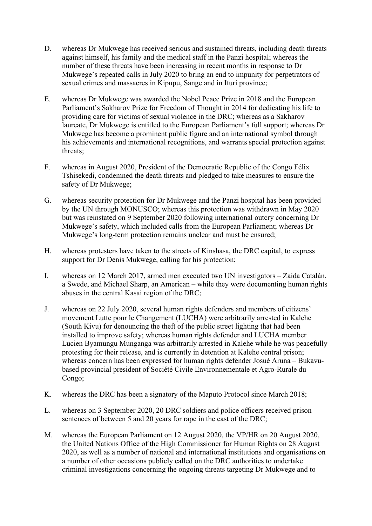- D. whereas Dr Mukwege has received serious and sustained threats, including death threats against himself, his family and the medical staff in the Panzi hospital; whereas the number of these threats have been increasing in recent months in response to Dr Mukwege's repeated calls in July 2020 to bring an end to impunity for perpetrators of sexual crimes and massacres in Kipupu, Sange and in Ituri province;
- E. whereas Dr Mukwege was awarded the Nobel Peace Prize in 2018 and the European Parliament's Sakharov Prize for Freedom of Thought in 2014 for dedicating his life to providing care for victims of sexual violence in the DRC; whereas as a Sakharov laureate, Dr Mukwege is entitled to the European Parliament's full support; whereas Dr Mukwege has become a prominent public figure and an international symbol through his achievements and international recognitions, and warrants special protection against threats;
- F. whereas in August 2020, President of the Democratic Republic of the Congo Félix Tshisekedi, condemned the death threats and pledged to take measures to ensure the safety of Dr Mukwege;
- G. whereas security protection for Dr Mukwege and the Panzi hospital has been provided by the UN through MONUSCO; whereas this protection was withdrawn in May 2020 but was reinstated on 9 September 2020 following international outcry concerning Dr Mukwege's safety, which included calls from the European Parliament; whereas Dr Mukwege's long-term protection remains unclear and must be ensured;
- H. whereas protesters have taken to the streets of Kinshasa, the DRC capital, to express support for Dr Denis Mukwege, calling for his protection;
- I. whereas on 12 March 2017, armed men executed two UN investigators Zaida Catalán, a Swede, and Michael Sharp, an American – while they were documenting human rights abuses in the central Kasai region of the DRC;
- J. whereas on 22 July 2020, several human rights defenders and members of citizens' movement Lutte pour le Changement (LUCHA) were arbitrarily arrested in Kalehe (South Kivu) for denouncing the theft of the public street lighting that had been installed to improve safety; whereas human rights defender and LUCHA member Lucien Byamungu Munganga was arbitrarily arrested in Kalehe while he was peacefully protesting for their release, and is currently in detention at Kalehe central prison; whereas concern has been expressed for human rights defender Josué Aruna – Bukavubased provincial president of Société Civile Environnementale et Agro-Rurale du Congo;
- K. whereas the DRC has been a signatory of the Maputo Protocol since March 2018;
- L. whereas on 3 September 2020, 20 DRC soldiers and police officers received prison sentences of between 5 and 20 years for rape in the east of the DRC;
- M. whereas the European Parliament on 12 August 2020, the VP/HR on 20 August 2020, the United Nations Office of the High Commissioner for Human Rights on 28 August 2020, as well as a number of national and international institutions and organisations on a number of other occasions publicly called on the DRC authorities to undertake criminal investigations concerning the ongoing threats targeting Dr Mukwege and to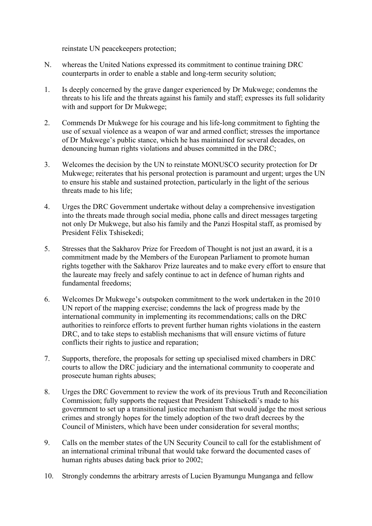reinstate UN peacekeepers protection;

- N. whereas the United Nations expressed its commitment to continue training DRC counterparts in order to enable a stable and long-term security solution;
- 1. Is deeply concerned by the grave danger experienced by Dr Mukwege; condemns the threats to his life and the threats against his family and staff; expresses its full solidarity with and support for Dr Mukwege;
- 2. Commends Dr Mukwege for his courage and his life-long commitment to fighting the use of sexual violence as a weapon of war and armed conflict; stresses the importance of Dr Mukwege's public stance, which he has maintained for several decades, on denouncing human rights violations and abuses committed in the DRC;
- 3. Welcomes the decision by the UN to reinstate MONUSCO security protection for Dr Mukwege; reiterates that his personal protection is paramount and urgent; urges the UN to ensure his stable and sustained protection, particularly in the light of the serious threats made to his life;
- 4. Urges the DRC Government undertake without delay a comprehensive investigation into the threats made through social media, phone calls and direct messages targeting not only Dr Mukwege, but also his family and the Panzi Hospital staff, as promised by President Félix Tshisekedi;
- 5. Stresses that the Sakharov Prize for Freedom of Thought is not just an award, it is a commitment made by the Members of the European Parliament to promote human rights together with the Sakharov Prize laureates and to make every effort to ensure that the laureate may freely and safely continue to act in defence of human rights and fundamental freedoms;
- 6. Welcomes Dr Mukwege's outspoken commitment to the work undertaken in the 2010 UN report of the mapping exercise; condemns the lack of progress made by the international community in implementing its recommendations; calls on the DRC authorities to reinforce efforts to prevent further human rights violations in the eastern DRC, and to take steps to establish mechanisms that will ensure victims of future conflicts their rights to justice and reparation;
- 7. Supports, therefore, the proposals for setting up specialised mixed chambers in DRC courts to allow the DRC judiciary and the international community to cooperate and prosecute human rights abuses;
- 8. Urges the DRC Government to review the work of its previous Truth and Reconciliation Commission; fully supports the request that President Tshisekedi's made to his government to set up a transitional justice mechanism that would judge the most serious crimes and strongly hopes for the timely adoption of the two draft decrees by the Council of Ministers, which have been under consideration for several months;
- 9. Calls on the member states of the UN Security Council to call for the establishment of an international criminal tribunal that would take forward the documented cases of human rights abuses dating back prior to 2002;
- 10. Strongly condemns the arbitrary arrests of Lucien Byamungu Munganga and fellow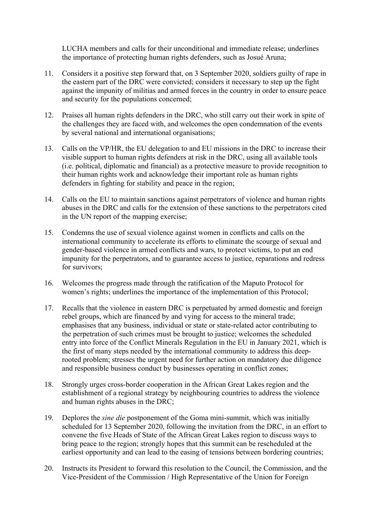LUCHA members and calls for their unconditional and immediate release; underlines the importance of protecting human rights defenders, such as Josué Aruna;

- 11. Considers it a positive step forward that, on 3 September 2020, soldiers guilty of rape in the eastern part of the DRC were convicted; considers it necessary to step up the fight against the impunity of militias and armed forces in the country in order to ensure peace and security for the populations concerned;
- 12. Praises all human rights defenders in the DRC, who still carry out their work in spite of the challenges they are faced with, and welcomes the open condemnation of the events by several national and international organisations;
- 13. Calls on the VP/HR, the EU delegation to and EU missions in the DRC to increase their visible support to human rights defenders at risk in the DRC, using all available tools (i.e. political, diplomatic and financial) as a protective measure to provide recognition to their human rights work and acknowledge their important role as human rights defenders in fighting for stability and peace in the region;
- 14. Calls on the EU to maintain sanctions against perpetrators of violence and human rights abuses in the DRC and calls for the extension of these sanctions to the perpetrators cited in the UN report of the mapping exercise;
- 15. Condemns the use of sexual violence against women in conflicts and calls on the international community to accelerate its efforts to eliminate the scourge of sexual and gender-based violence in armed conflicts and wars, to protect victims, to put an end impunity for the perpetrators, and to guarantee access to justice, reparations and redress for survivors;
- 16. Welcomes the progress made through the ratification of the Maputo Protocol for women's rights; underlines the importance of the implementation of this Protocol;
- 17. Recalls that the violence in eastern DRC is perpetuated by armed domestic and foreign rebel groups, which are financed by and vying for access to the mineral trade; emphasises that any business, individual or state or state-related actor contributing to the perpetration of such crimes must be brought to justice; welcomes the scheduled entry into force of the Conflict Minerals Regulation in the EU in January 2021, which is the first of many steps needed by the international community to address this deeprooted problem; stresses the urgent need for further action on mandatory due diligence and responsible business conduct by businesses operating in conflict zones;
- 18. Strongly urges cross-border cooperation in the African Great Lakes region and the establishment of a regional strategy by neighbouring countries to address the violence and human rights abuses in the DRC;
- 19. Deplores the *sine die* postponement of the Goma mini-summit, which was initially scheduled for 13 September 2020, following the invitation from the DRC, in an effort to convene the five Heads of State of the African Great Lakes region to discuss ways to bring peace to the region; strongly hopes that this summit can be rescheduled at the earliest opportunity and can lead to the easing of tensions between bordering countries;
- 20. Instructs its President to forward this resolution to the Council, the Commission, and the Vice-President of the Commission / High Representative of the Union for Foreign